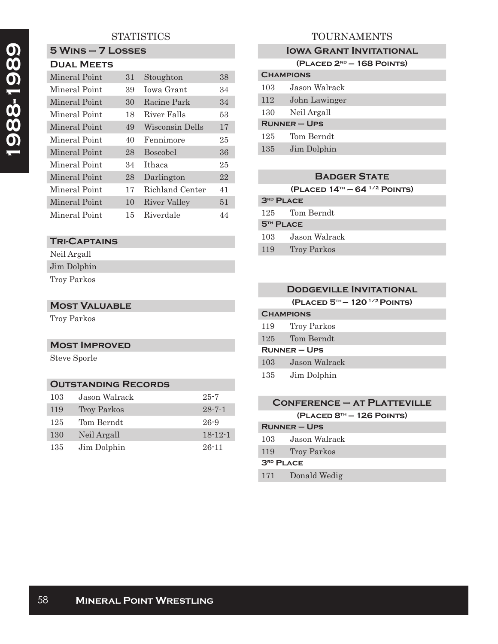# **STATISTICS**

# **1988-1989**  1988-1989

|  |                   |  | $5$ WINS $-7$ LOSSES |  |
|--|-------------------|--|----------------------|--|
|  | <b>DUAL MEETS</b> |  |                      |  |

| Mineral Point | 31 | Stoughton       | 38 |
|---------------|----|-----------------|----|
| Mineral Point | 39 | Jowa Grant      | 34 |
| Mineral Point | 30 | Racine Park     | 34 |
| Mineral Point | 18 | River Falls     | 53 |
| Mineral Point | 49 | Wisconsin Dells | 17 |
| Mineral Point | 40 | Fennimore       | 25 |
| Mineral Point | 28 | <b>Boscobel</b> | 36 |
| Mineral Point | 34 | Ithaca          | 25 |
| Mineral Point | 28 | Darlington      | 22 |
| Mineral Point | 17 | Richland Center | 41 |
| Mineral Point | 10 | River Valley    | 51 |
| Mineral Point | 15 | Riverdale       | 44 |

## **Tri-Captains**

Neil Argall Jim Dolphin

Troy Parkos

#### **Most Valuable**

Troy Parkos

## **Most Improved**

Steve Sporle

# **Outstanding Records**

| 103 | Jason Walrack | $25 - 7$      |
|-----|---------------|---------------|
| 119 | Troy Parkos   | $28 - 7 - 1$  |
| 125 | Tom Berndt    | $26 - 9$      |
| 130 | Neil Argall   | $18 - 12 - 1$ |
| 135 | Jim Dolphin   | $26 - 11$     |

# TOURNAMENTS

## **IOWA GRANT INVITATIONAL**

| $(PLACED 2ND - 168 POINTS)$ |  |  |  |
|-----------------------------|--|--|--|
|-----------------------------|--|--|--|

| <b>CHAMPIONS</b>    |               |  |
|---------------------|---------------|--|
| 103                 | Jason Walrack |  |
| 112                 | John Lawinger |  |
| 130                 | Neil Argall   |  |
| <b>RUNNER - UPS</b> |               |  |
| 125                 | Tom Berndt    |  |
| 135                 | Jim Dolphin   |  |

#### **Badger State**

**(Placed 14th — 64 1/2 Points)**

| <b>3RD PLACE</b>      |                    |  |
|-----------------------|--------------------|--|
|                       | 125 Tom Berndt     |  |
| 5 <sup>TH</sup> PLACE |                    |  |
| 103                   | Jason Walrack      |  |
| 119                   | <b>Troy Parkos</b> |  |

|                  | <b>DODGEVILLE INVITATIONAL</b> |
|------------------|--------------------------------|
|                  | $(PLACED 5TH - 1201/2$ POINTS) |
| <b>CHAMPIONS</b> |                                |
| 119              | Troy Parkos                    |
| 125              | Tom Berndt                     |
|                  | <b>RUNNER-UPS</b>              |
| 103              | Jason Walrack                  |
| 135              | Jim Dolphin                    |
|                  |                                |

## **Conference – at Platteville (Placed 8th — 126 Points) Runner – Ups**

| 103                   | Jason Walrack   |
|-----------------------|-----------------|
|                       | 119 Troy Parkos |
| 3 <sup>RD</sup> PLACE |                 |

171 Donald Wedig